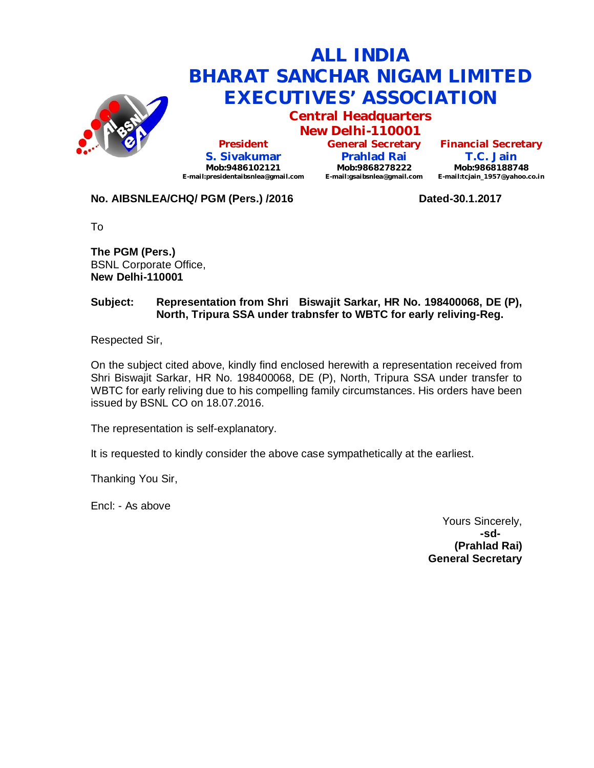

# **ALL INDIA BHARAT SANCHAR NIGAM LIMITED EXECUTIVES' ASSOCIATION**

**Central Headquarters**

**New Delhi-110001 President S. Sivakumar Mob:9486102121 E-mail:presidentaibsnlea@gmail.com**

**General Secretary Prahlad Rai Mob:9868278222 E-mail:gsaibsnlea@gmail.com**

**Financial Secretary T.C. Jain Mob:9868188748 E-mail:tcjain\_1957@yahoo.co.in**

**No. AIBSNLEA/CHQ/ PGM (Pers.) /2016 Dated-30.1.2017**

To

**The PGM (Pers.)** BSNL Corporate Office, **New Delhi-110001** 

### **Subject: Representation from Shri Biswajit Sarkar, HR No. 198400068, DE (P), North, Tripura SSA under trabnsfer to WBTC for early reliving-Reg.**

Respected Sir,

On the subject cited above, kindly find enclosed herewith a representation received from Shri Biswajit Sarkar, HR No. 198400068, DE (P), North, Tripura SSA under transfer to WBTC for early reliving due to his compelling family circumstances. His orders have been issued by BSNL CO on 18.07.2016.

The representation is self-explanatory.

It is requested to kindly consider the above case sympathetically at the earliest.

Thanking You Sir,

Encl: - As above

Yours Sincerely, **-sd- (Prahlad Rai) General Secretary**